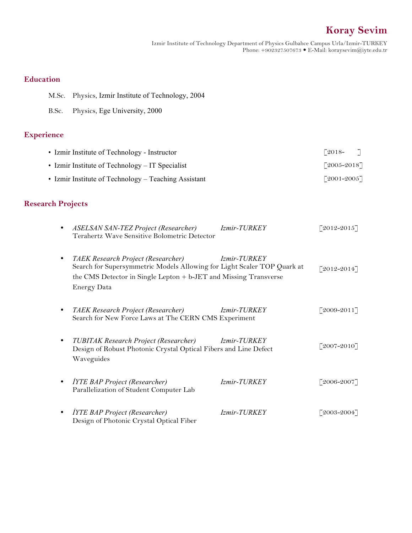# **Koray Sevim**

Izmir Institute of Technology Department of Physics Gulbahce Campus Urla/Izmir-TURKEY Phone: +902327507673 E-Mail: koraysevim@iyte.edu.tr

## **Education**

- M.Sc. Physics, Izmir Institute of Technology, 2004
- B.Sc. Physics, Ege University, 2000

# **Experience**

| • Izmir Institute of Technology - Instructor         | $\lceil 2018 -$             |  |
|------------------------------------------------------|-----------------------------|--|
| • Izmir Institute of Technology $-IT$ Specialist     | $[2005 - 2018]$             |  |
| • Izmir Institute of Technology – Teaching Assistant | $\lceil 2001 - 2005 \rceil$ |  |

# **Research Projects**

|           | <b>ASELSAN SAN-TEZ Project (Researcher)</b><br>Terahertz Wave Sensitive Bolometric Detector                                                                                                             | <i>Izmir-TURKEY</i> | $[2012 - 2015]$ |
|-----------|---------------------------------------------------------------------------------------------------------------------------------------------------------------------------------------------------------|---------------------|-----------------|
|           | TAEK Research Project (Researcher)<br>Search for Supersymmetric Models Allowing for Light Scaler TOP Quark at<br>the CMS Detector in Single Lepton + b-JET and Missing Transverse<br><b>Energy Data</b> | <i>Izmir-TURKEY</i> | $[2012 - 2014]$ |
|           | TAEK Research Project (Researcher)<br>Search for New Force Laws at The CERN CMS Experiment                                                                                                              | <i>Izmir-TURKEY</i> | $[2009 - 2011]$ |
|           | TUBITAK Research Project (Researcher)<br>Design of Robust Photonic Crystal Optical Fibers and Line Defect<br>Waveguides                                                                                 | <i>Izmir-TURKEY</i> | $[2007-2010]$   |
| $\bullet$ | <b>İYTE BAP Project (Researcher)</b><br>Parallelization of Student Computer Lab                                                                                                                         | <i>Izmir-TURKEY</i> | $[2006 - 2007]$ |
|           | <b>İYTE BAP Project (Researcher)</b><br>Design of Photonic Crystal Optical Fiber                                                                                                                        | <i>Izmir-TURKEY</i> | $[2003 - 2004]$ |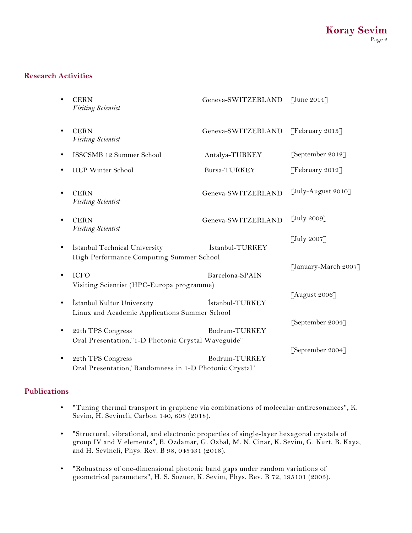#### **Research Activities**

|           | <b>CERN</b><br>Visiting Scientist                                           | Geneva-SWITZERLAND | $\left[\text{June } 2014\right]$ |
|-----------|-----------------------------------------------------------------------------|--------------------|----------------------------------|
| $\bullet$ | <b>CERN</b><br>Visiting Scientist                                           | Geneva-SWITZERLAND | [February 2013]                  |
| $\bullet$ | ISSCSMB 12 Summer School                                                    | Antalya-TURKEY     | [September 2012]                 |
| ٠         | HEP Winter School                                                           | Bursa-TURKEY       | [February 2012]                  |
| $\bullet$ | <b>CERN</b><br>Visiting Scientist                                           | Geneva-SWITZERLAND | [July-August 2010]               |
| $\bullet$ | <b>CERN</b><br>Visiting Scientist                                           | Geneva-SWITZERLAND | $\left[\text{July } 2009\right]$ |
| $\bullet$ | Istanbul Technical University<br>High Performance Computing Summer School   | İstanbul-TURKEY    | $\left[\text{July } 2007\right]$ |
| $\bullet$ | <b>ICFO</b><br>Visiting Scientist (HPC-Europa programme)                    | Barcelona-SPAIN    | [January-March 2007]             |
| $\bullet$ | İstanbul Kultur University<br>Linux and Academic Applications Summer School | İstanbul-TURKEY    | [August 2006]                    |
| $\bullet$ | 22th TPS Congress<br>Oral Presentation,"1-D Photonic Crystal Waveguide"     | Bodrum-TURKEY      | [September 2004]                 |
| $\bullet$ | 22th TPS Congress<br>Oral Presentation,"Randomness in 1-D Photonic Crystal" | Bodrum-TURKEY      | [September 2004]                 |

#### **Publications**

- "Tuning thermal transport in graphene via combinations of molecular antiresonances", K. Sevim, H. Sevincli, Carbon 140, 603 (2018).
- "Structural, vibrational, and electronic properties of single-layer hexagonal crystals of group IV and V elements", B. Ozdamar, G. Ozbal, M. N. Cinar, K. Sevim, G. Kurt, B. Kaya, and H. Sevincli, Phys. Rev. B 98, 045431 (2018).
- "Robustness of one-dimensional photonic band gaps under random variations of geometrical parameters", H. S. Sozuer, K. Sevim, Phys. Rev. B 72, 195101 (2005).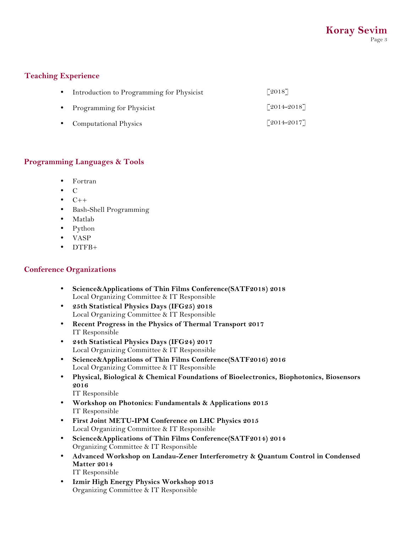#### **Teaching Experience**

| $\bullet$ | Introduction to Programming for Physicist | $\lceil 2018 \rceil$        |
|-----------|-------------------------------------------|-----------------------------|
| $\bullet$ | Programming for Physicist                 | $\lceil 2014 - 2018 \rceil$ |
|           | • Computational Physics                   | $\lceil 2014 - 2017 \rceil$ |

### **Programming Languages & Tools**

- Fortran
- C
- $C++$
- Bash-Shell Programming
- Matlab
- Python
- VASP
- DTFB+

#### **Conference Organizations**

- **Science&Applications of Thin Films Conference(SATF2018) 2018**  Local Organizing Committee & IT Responsible
- **25th Statistical Physics Days (IFG25) 2018**  Local Organizing Committee & IT Responsible
- **Recent Progress in the Physics of Thermal Transport 2017**  IT Responsible
- **24th Statistical Physics Days (IFG24) 2017**  Local Organizing Committee & IT Responsible
- **Science&Applications of Thin Films Conference(SATF2016) 2016**  Local Organizing Committee & IT Responsible
- **Physical, Biological & Chemical Foundations of Bioelectronics, Biophotonics, Biosensors 2016**

IT Responsible

- **Workshop on Photonics: Fundamentals & Applications 2015**  IT Responsible
- **First Joint METU-IPM Conference on LHC Physics 2015**  Local Organizing Committee & IT Responsible
- **Science&Applications of Thin Films Conference(SATF2014) 2014**  Organizing Committee & IT Responsible
- **Advanced Workshop on Landau-Zener Interferometry & Quantum Control in Condensed Matter 2014**  IT Responsible
- **Izmir High Energy Physics Workshop 2013**  Organizing Committee & IT Responsible